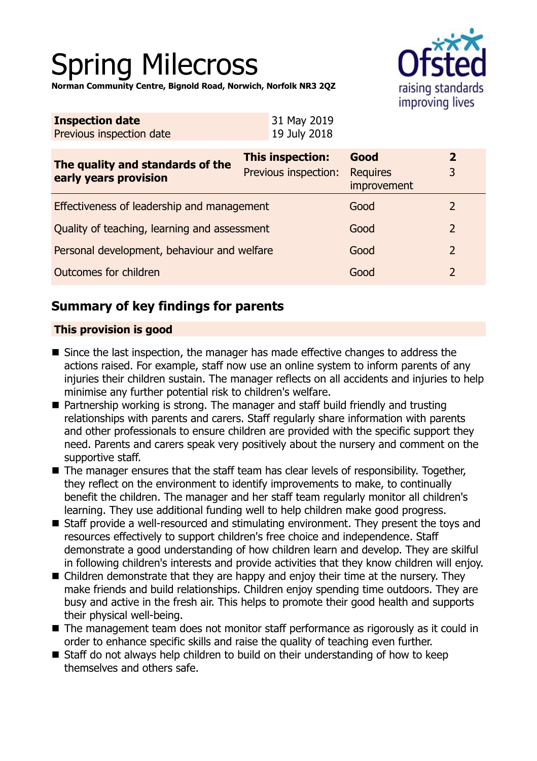# Spring Milecross

**Norman Community Centre, Bignold Road, Norwich, Norfolk NR3 2QZ**



| Previous inspection date         | 19 July 2018                                             |  |
|----------------------------------|----------------------------------------------------------|--|
| The quality and standards of the | <b>This inspection:</b><br>Previous inspection:<br>Regui |  |

|                                              | The quality and standards of the<br>early years provision | <b>This inspection:</b><br>Previous inspection: | Good<br><b>Requires</b><br>improvement |  |
|----------------------------------------------|-----------------------------------------------------------|-------------------------------------------------|----------------------------------------|--|
|                                              | Effectiveness of leadership and management                |                                                 | Good                                   |  |
| Quality of teaching, learning and assessment |                                                           | Good                                            |                                        |  |
|                                              | Personal development, behaviour and welfare               |                                                 | Good                                   |  |
|                                              | Outcomes for children                                     |                                                 | Good                                   |  |

# **Summary of key findings for parents**

## **This provision is good**

- $\blacksquare$  Since the last inspection, the manager has made effective changes to address the actions raised. For example, staff now use an online system to inform parents of any injuries their children sustain. The manager reflects on all accidents and injuries to help minimise any further potential risk to children's welfare.
- $\blacksquare$  Partnership working is strong. The manager and staff build friendly and trusting relationships with parents and carers. Staff regularly share information with parents and other professionals to ensure children are provided with the specific support they need. Parents and carers speak very positively about the nursery and comment on the supportive staff.
- $\blacksquare$  The manager ensures that the staff team has clear levels of responsibility. Together, they reflect on the environment to identify improvements to make, to continually benefit the children. The manager and her staff team regularly monitor all children's learning. They use additional funding well to help children make good progress.
- Staff provide a well-resourced and stimulating environment. They present the toys and resources effectively to support children's free choice and independence. Staff demonstrate a good understanding of how children learn and develop. They are skilful in following children's interests and provide activities that they know children will enjoy.
- $\blacksquare$  Children demonstrate that they are happy and enjoy their time at the nursery. They make friends and build relationships. Children enjoy spending time outdoors. They are busy and active in the fresh air. This helps to promote their good health and supports their physical well-being.
- $\blacksquare$  The management team does not monitor staff performance as rigorously as it could in order to enhance specific skills and raise the quality of teaching even further.
- $\blacksquare$  Staff do not always help children to build on their understanding of how to keep themselves and others safe.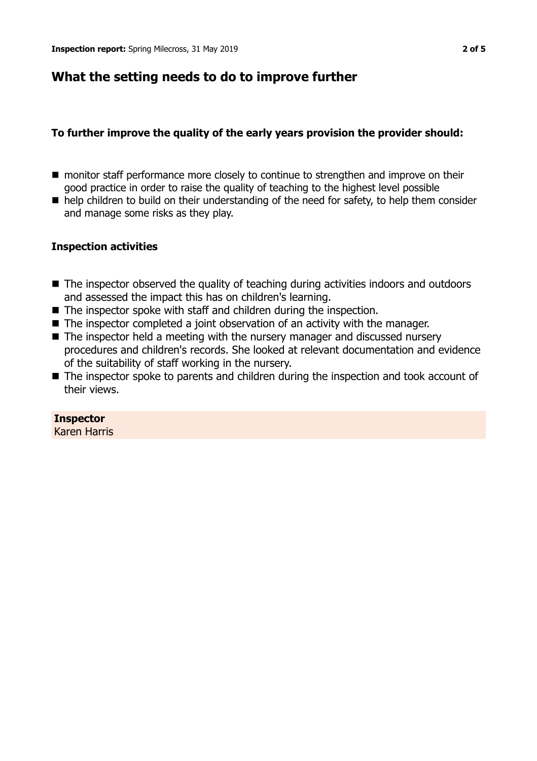# **What the setting needs to do to improve further**

## **To further improve the quality of the early years provision the provider should:**

- monitor staff performance more closely to continue to strengthen and improve on their good practice in order to raise the quality of teaching to the highest level possible
- $\blacksquare$  help children to build on their understanding of the need for safety, to help them consider and manage some risks as they play.

## **Inspection activities**

- $\blacksquare$  The inspector observed the quality of teaching during activities indoors and outdoors and assessed the impact this has on children's learning.
- $\blacksquare$  The inspector spoke with staff and children during the inspection.
- $\blacksquare$  The inspector completed a joint observation of an activity with the manager.
- $\blacksquare$  The inspector held a meeting with the nursery manager and discussed nursery procedures and children's records. She looked at relevant documentation and evidence of the suitability of staff working in the nursery.
- The inspector spoke to parents and children during the inspection and took account of their views.

## **Inspector**

Karen Harris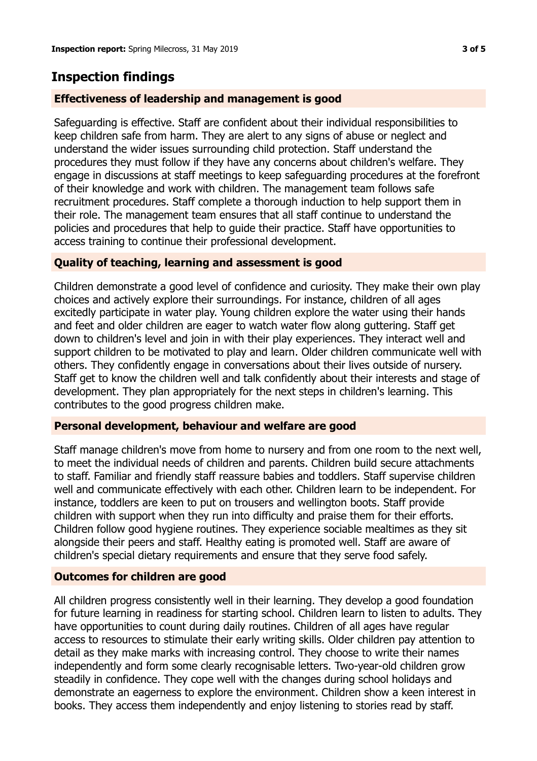# **Inspection findings**

## **Effectiveness of leadership and management is good**

Safeguarding is effective. Staff are confident about their individual responsibilities to keep children safe from harm. They are alert to any signs of abuse or neglect and understand the wider issues surrounding child protection. Staff understand the procedures they must follow if they have any concerns about children's welfare. They engage in discussions at staff meetings to keep safeguarding procedures at the forefront of their knowledge and work with children. The management team follows safe recruitment procedures. Staff complete a thorough induction to help support them in their role. The management team ensures that all staff continue to understand the policies and procedures that help to guide their practice. Staff have opportunities to access training to continue their professional development.

## **Quality of teaching, learning and assessment is good**

Children demonstrate a good level of confidence and curiosity. They make their own play choices and actively explore their surroundings. For instance, children of all ages excitedly participate in water play. Young children explore the water using their hands and feet and older children are eager to watch water flow along guttering. Staff get down to children's level and join in with their play experiences. They interact well and support children to be motivated to play and learn. Older children communicate well with others. They confidently engage in conversations about their lives outside of nursery. Staff get to know the children well and talk confidently about their interests and stage of development. They plan appropriately for the next steps in children's learning. This contributes to the good progress children make.

#### **Personal development, behaviour and welfare are good**

Staff manage children's move from home to nursery and from one room to the next well, to meet the individual needs of children and parents. Children build secure attachments to staff. Familiar and friendly staff reassure babies and toddlers. Staff supervise children well and communicate effectively with each other. Children learn to be independent. For instance, toddlers are keen to put on trousers and wellington boots. Staff provide children with support when they run into difficulty and praise them for their efforts. Children follow good hygiene routines. They experience sociable mealtimes as they sit alongside their peers and staff. Healthy eating is promoted well. Staff are aware of children's special dietary requirements and ensure that they serve food safely.

#### **Outcomes for children are good**

All children progress consistently well in their learning. They develop a good foundation for future learning in readiness for starting school. Children learn to listen to adults. They have opportunities to count during daily routines. Children of all ages have regular access to resources to stimulate their early writing skills. Older children pay attention to detail as they make marks with increasing control. They choose to write their names independently and form some clearly recognisable letters. Two-year-old children grow steadily in confidence. They cope well with the changes during school holidays and demonstrate an eagerness to explore the environment. Children show a keen interest in books. They access them independently and enjoy listening to stories read by staff.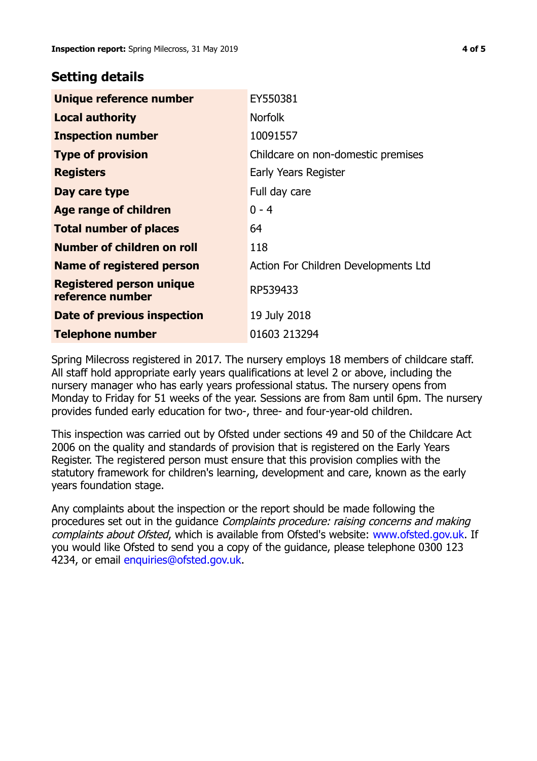## **Setting details**

| Unique reference number                             | EY550381                             |
|-----------------------------------------------------|--------------------------------------|
| <b>Local authority</b>                              | <b>Norfolk</b>                       |
| <b>Inspection number</b>                            | 10091557                             |
| <b>Type of provision</b>                            | Childcare on non-domestic premises   |
| <b>Registers</b>                                    | Early Years Register                 |
| Day care type                                       | Full day care                        |
| Age range of children                               | $0 - 4$                              |
| <b>Total number of places</b>                       | 64                                   |
| Number of children on roll                          | 118                                  |
| <b>Name of registered person</b>                    | Action For Children Developments Ltd |
| <b>Registered person unique</b><br>reference number | RP539433                             |
| Date of previous inspection                         | 19 July 2018                         |
| <b>Telephone number</b>                             | 01603 213294                         |

Spring Milecross registered in 2017. The nursery employs 18 members of childcare staff. All staff hold appropriate early years qualifications at level 2 or above, including the nursery manager who has early years professional status. The nursery opens from Monday to Friday for 51 weeks of the year. Sessions are from 8am until 6pm. The nursery provides funded early education for two-, three- and four-year-old children.

This inspection was carried out by Ofsted under sections 49 and 50 of the Childcare Act 2006 on the quality and standards of provision that is registered on the Early Years Register. The registered person must ensure that this provision complies with the statutory framework for children's learning, development and care, known as the early years foundation stage.

Any complaints about the inspection or the report should be made following the procedures set out in the quidance *Complaints procedure: raising concerns and making* complaints about Ofsted, which is available from Ofsted's website: www.ofsted.gov.uk. If you would like Ofsted to send you a copy of the guidance, please telephone 0300 123 4234, or email [enquiries@ofsted.gov.uk.](mailto:enquiries@ofsted.gov.uk)